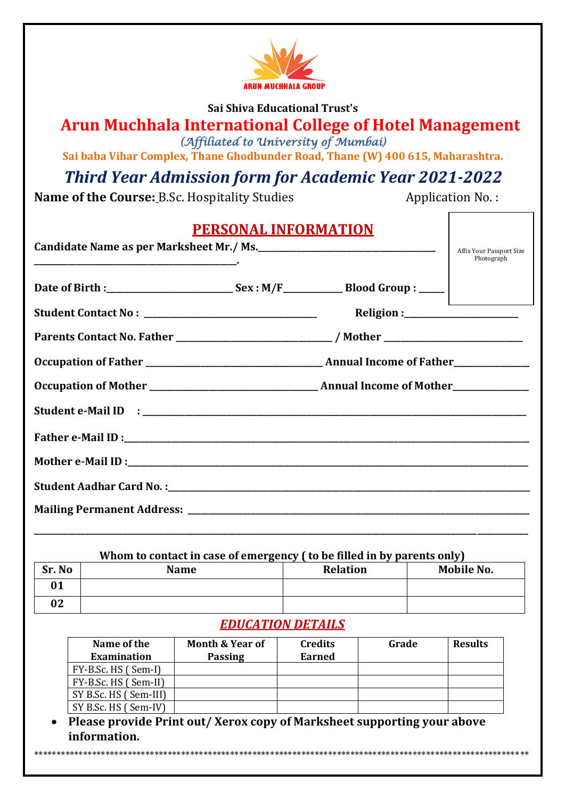

#### **Sai Shiva Educational Trust's**

# **Arun Muchhala International College of Hotel Management** *(Affiliated to University of Mumbai)*

**Sai baba Vihar Complex, Thane Ghodbunder Road, Thane (W) 400 615, Maharashtra.**

# *Third Year Admission form for Academic Year 2021-2022*

**Name of the Course: B.Sc. Hospitality Studies Application No.:** 

| <b>PERSONAL INFORMATION</b><br>Candidate Name as per Marksheet Mr./ Ms.<br>Affix Your Passport Size<br>Photograph |
|-------------------------------------------------------------------------------------------------------------------|
|                                                                                                                   |
|                                                                                                                   |
| Parents Contact No. Father _______________________________/ Mother ________________________________               |
|                                                                                                                   |
|                                                                                                                   |
|                                                                                                                   |
|                                                                                                                   |
|                                                                                                                   |
|                                                                                                                   |
|                                                                                                                   |
|                                                                                                                   |

# **Whom to contact in case of emergency ( to be filled in by parents only)**

| Sr. No | $\overline{\phantom{0}}$<br><b>Name</b> | <b>Relation</b> | Mobile No. |
|--------|-----------------------------------------|-----------------|------------|
| 01     |                                         |                 |            |
| 02     |                                         |                 |            |

# *EDUCATION DETAILS*

| Name of the<br><b>Examination</b> | <b>Month &amp; Year of</b><br><b>Passing</b> | <b>Credits</b><br>Earned | Grade | <b>Results</b> |
|-----------------------------------|----------------------------------------------|--------------------------|-------|----------------|
| FY-B.Sc. HS (Sem-I)               |                                              |                          |       |                |
| FY-B.Sc. HS (Sem-II)              |                                              |                          |       |                |
| SY B.Sc. HS (Sem-III)             |                                              |                          |       |                |
| SY B.Sc. HS (Sem-IV)              |                                              |                          |       |                |

 **Please provide Print out/ Xerox copy of Marksheet supporting your above information.**

\*\*\*\*\*\*\*\*\*\*\*\*\*\*\*\*\*\*\*\*\*\*\*\*\*\*\*\*\*\*\*\*\*\*\*\*\*\*\*\*\*\*\*\*\*\*\*\*\*\*\*\*\*\*\*\*\*\*\*\*\*\*\*\*\*\*\*\*\*\*\*\*\*\*\*\*\*\*\*\*\*\*\*\*\*\*\*\*\*\*\*\*\*\*\*\*\*\*\*\*\*\*\*\*\*\*\*\*\*\*\*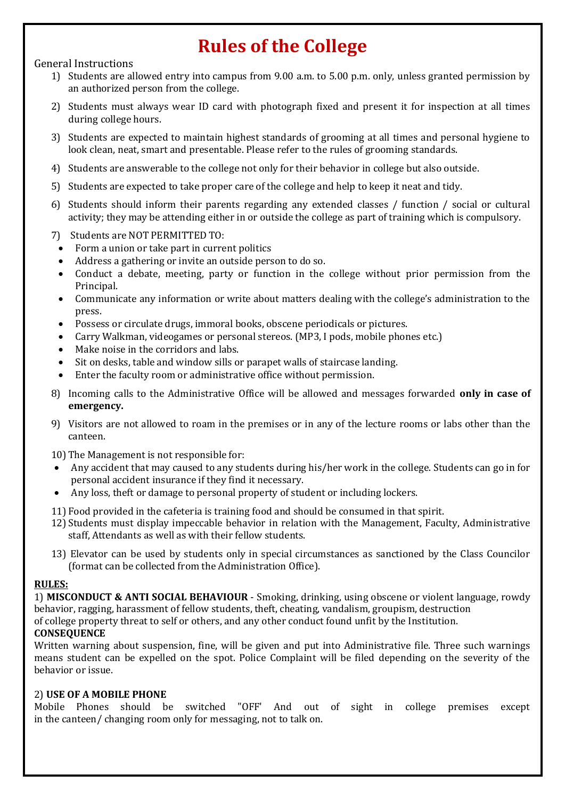# **Rules of the College**

#### General Instructions

- 1) Students are allowed entry into campus from 9.00 a.m. to 5.00 p.m. only, unless granted permission by an authorized person from the college.
- 2) Students must always wear ID card with photograph fixed and present it for inspection at all times during college hours.
- 3) Students are expected to maintain highest standards of grooming at all times and personal hygiene to look clean, neat, smart and presentable. Please refer to the rules of grooming standards.
- 4) Students are answerable to the college not only for their behavior in college but also outside.
- 5) Students are expected to take proper care of the college and help to keep it neat and tidy.
- 6) Students should inform their parents regarding any extended classes / function / social or cultural activity; they may be attending either in or outside the college as part of training which is compulsory.
- 7) Students are NOT PERMITTED TO:
- Form a union or take part in current politics
- Address a gathering or invite an outside person to do so.
- Conduct a debate, meeting, party or function in the college without prior permission from the Principal.
- Communicate any information or write about matters dealing with the college's administration to the press.
- Possess or circulate drugs, immoral books, obscene periodicals or pictures.
- Carry Walkman, videogames or personal stereos. (MP3, I pods, mobile phones etc.)
- Make noise in the corridors and labs.
- Sit on desks, table and window sills or parapet walls of staircase landing.
- Enter the faculty room or administrative office without permission.
- 8) Incoming calls to the Administrative Office will be allowed and messages forwarded **only in case of emergency.**
- 9) Visitors are not allowed to roam in the premises or in any of the lecture rooms or labs other than the canteen.
- 10) The Management is not responsible for:
- Any accident that may caused to any students during his/her work in the college. Students can go in for personal accident insurance if they find it necessary.
- Any loss, theft or damage to personal property of student or including lockers.
- 11) Food provided in the cafeteria is training food and should be consumed in that spirit.
- 12) Students must display impeccable behavior in relation with the Management, Faculty, Administrative staff, Attendants as well as with their fellow students.
- 13) Elevator can be used by students only in special circumstances as sanctioned by the Class Councilor (format can be collected from the Administration Office).

#### **RULES:**

1) **MISCONDUCT & ANTI SOCIAL BEHAVIOUR** - Smoking, drinking, using obscene or violent language, rowdy behavior, ragging, harassment of fellow students, theft, cheating, vandalism, groupism, destruction of college property threat to self or others, and any other conduct found unfit by the Institution.

# **CONSEQUENCE**

Written warning about suspension, fine, will be given and put into Administrative file. Three such warnings means student can be expelled on the spot. Police Complaint will be filed depending on the severity of the behavior or issue.

#### 2) **USE OF A MOBILE PHONE**

Mobile Phones should be switched "OFF' And out of sight in college premises except in the canteen/ changing room only for messaging, not to talk on.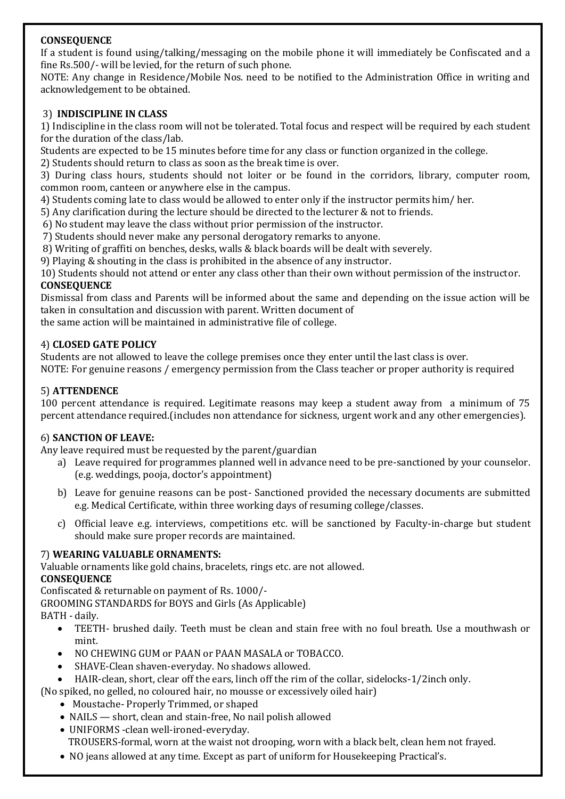# **CONSEQUENCE**

If a student is found using/talking/messaging on the mobile phone it will immediately be Confiscated and a fine Rs.500/- will be levied, for the return of such phone.

NOTE: Any change in Residence/Mobile Nos. need to be notified to the Administration Office in writing and acknowledgement to be obtained.

#### 3) **INDISCIPLINE IN CLASS**

1) Indiscipline in the class room will not be tolerated. Total focus and respect will be required by each student for the duration of the class/lab.

Students are expected to be 15 minutes before time for any class or function organized in the college.

2) Students should return to class as soon as the break time is over.

3) During class hours, students should not loiter or be found in the corridors, library, computer room, common room, canteen or anywhere else in the campus.

4) Students coming late to class would be allowed to enter only if the instructor permits him/ her.

5) Any clarification during the lecture should be directed to the lecturer & not to friends.

6) No student may leave the class without prior permission of the instructor.

7) Students should never make any personal derogatory remarks to anyone.

8) Writing of graffiti on benches, desks, walls & black boards will be dealt with severely.

9) Playing & shouting in the class is prohibited in the absence of any instructor.

10) Students should not attend or enter any class other than their own without permission of the instructor. **CONSEQUENCE**

Dismissal from class and Parents will be informed about the same and depending on the issue action will be taken in consultation and discussion with parent. Written document of

the same action will be maintained in administrative file of college.

#### 4) **CLOSED GATE POLICY**

Students are not allowed to leave the college premises once they enter until the last class is over.

NOTE: For genuine reasons / emergency permission from the Class teacher or proper authority is required

#### 5) **ATTENDENCE**

100 percent attendance is required. Legitimate reasons may keep a student away from a minimum of 75 percent attendance required.(includes non attendance for sickness, urgent work and any other emergencies).

#### 6) **SANCTION OF LEAVE:**

Any leave required must be requested by the parent/guardian

- a) Leave required for programmes planned well in advance need to be pre-sanctioned by your counselor. (e.g. weddings, pooja, doctor's appointment)
- b) Leave for genuine reasons can be post- Sanctioned provided the necessary documents are submitted e.g. Medical Certificate, within three working days of resuming college/classes.
- c) Official leave e.g. interviews, competitions etc. will be sanctioned by Faculty-in-charge but student should make sure proper records are maintained.

# 7) **WEARING VALUABLE ORNAMENTS:**

Valuable ornaments like gold chains, bracelets, rings etc. are not allowed.

# **CONSEQUENCE**

Confiscated & returnable on payment of Rs. 1000/-

GROOMING STANDARDS for BOYS and Girls (As Applicable)

BATH - daily.

- TEETH- brushed daily. Teeth must be clean and stain free with no foul breath. Use a mouthwash or mint.
- NO CHEWING GUM or PAAN or PAAN MASALA or TOBACCO.
- SHAVE-Clean shaven-everyday. No shadows allowed.
- HAIR-clean, short, clear off the ears, linch off the rim of the collar, sidelocks-1/2inch only.
- (No spiked, no gelled, no coloured hair, no mousse or excessively oiled hair)
	- Moustache- Properly Trimmed, or shaped
	- NAILS short, clean and stain-free, No nail polish allowed
	- UNIFORMS -clean well-ironed-everyday. TROUSERS-formal, worn at the waist not drooping, worn with a black belt, clean hem not frayed.
	- NO jeans allowed at any time. Except as part of uniform for Housekeeping Practical's.